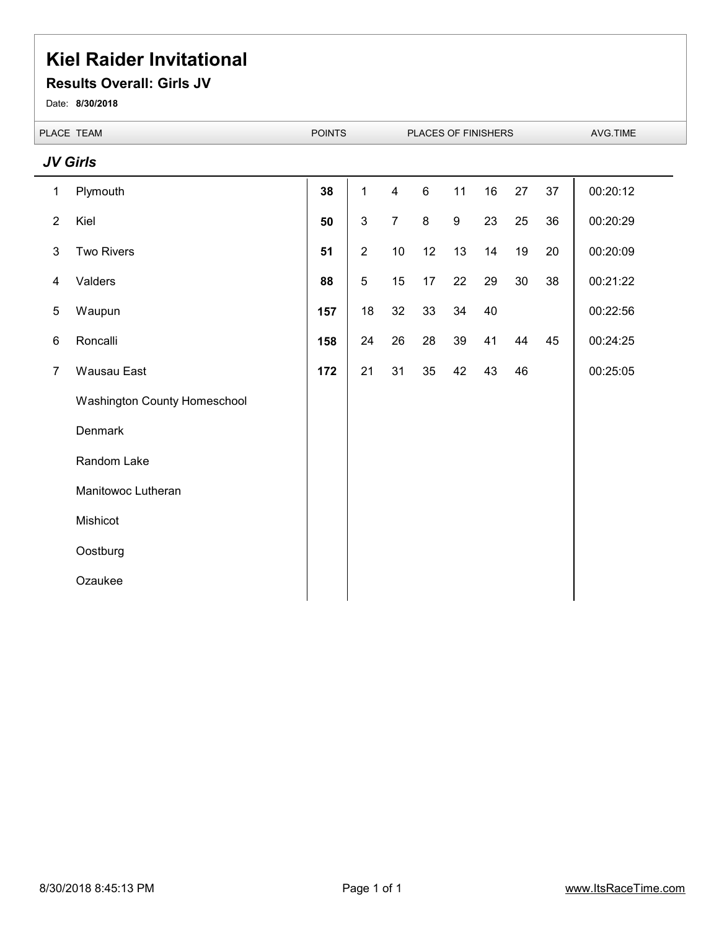#### **Results Overall: Girls JV**

Date: **8/30/2018**

 $\overline{\phantom{a}}$ 

|                | PLACE TEAM                   | <b>POINTS</b> |                |                | PLACES OF FINISHERS |    |    |      |    | AVG.TIME |  |
|----------------|------------------------------|---------------|----------------|----------------|---------------------|----|----|------|----|----------|--|
|                | <b>JV Girls</b>              |               |                |                |                     |    |    |      |    |          |  |
| $\mathbf{1}$   | Plymouth                     | 38            | $\mathbf{1}$   | $\overline{4}$ | $\,6\,$             | 11 | 16 | 27   | 37 | 00:20:12 |  |
| $\overline{2}$ | Kiel                         | 50            | 3              | $\overline{7}$ | $\bf 8$             | 9  | 23 | 25   | 36 | 00:20:29 |  |
| $\mathfrak{Z}$ | <b>Two Rivers</b>            | 51            | $\overline{2}$ | 10             | 12                  | 13 | 14 | $19$ | 20 | 00:20:09 |  |
| 4              | Valders                      | 88            | 5              | 15             | 17                  | 22 | 29 | 30   | 38 | 00:21:22 |  |
| 5              | Waupun                       | 157           | 18             | 32             | 33                  | 34 | 40 |      |    | 00:22:56 |  |
| 6              | Roncalli                     | 158           | 24             | 26             | 28                  | 39 | 41 | 44   | 45 | 00:24:25 |  |
| $\overline{7}$ | Wausau East                  | 172           | 21             | 31             | 35                  | 42 | 43 | 46   |    | 00:25:05 |  |
|                | Washington County Homeschool |               |                |                |                     |    |    |      |    |          |  |
|                | Denmark                      |               |                |                |                     |    |    |      |    |          |  |
|                | Random Lake                  |               |                |                |                     |    |    |      |    |          |  |
|                | Manitowoc Lutheran           |               |                |                |                     |    |    |      |    |          |  |
|                | Mishicot                     |               |                |                |                     |    |    |      |    |          |  |
|                | Oostburg                     |               |                |                |                     |    |    |      |    |          |  |
|                | Ozaukee                      |               |                |                |                     |    |    |      |    |          |  |
|                |                              |               |                |                |                     |    |    |      |    |          |  |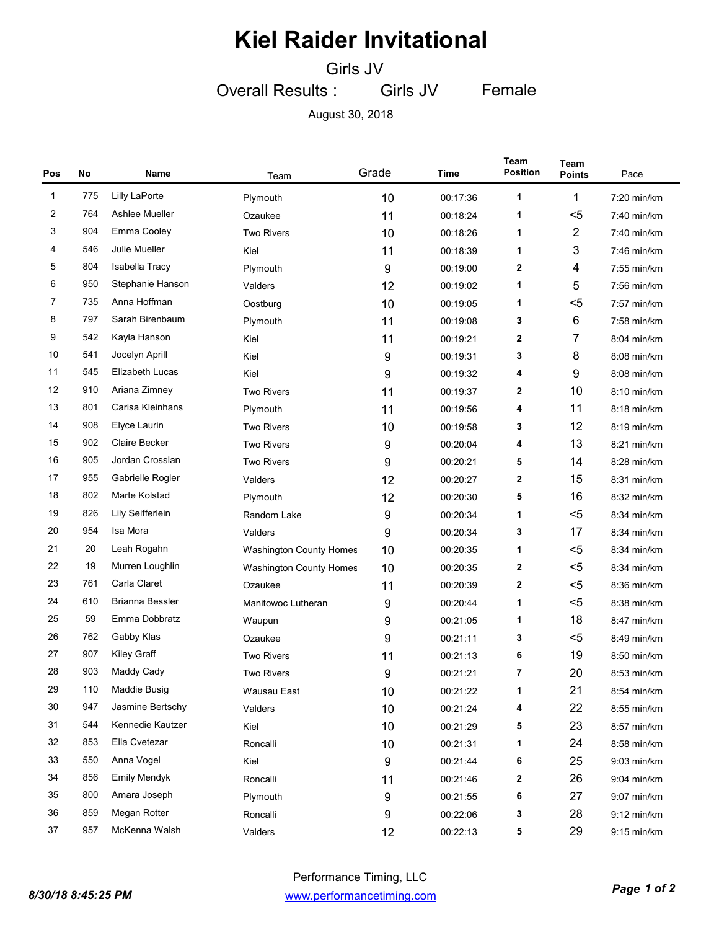Girls JV

Overall Results : Girls JV Female

August 30, 2018

| Pos          | No  | Name                   | Team                           | Grade | Time     | Team<br><b>Position</b> | Team<br><b>Points</b> | Pace          |
|--------------|-----|------------------------|--------------------------------|-------|----------|-------------------------|-----------------------|---------------|
| $\mathbf{1}$ | 775 | <b>Lilly LaPorte</b>   | Plymouth                       | 10    | 00:17:36 | 1                       | 1                     | 7:20 min/km   |
| 2            | 764 | Ashlee Mueller         | Ozaukee                        | 11    | 00:18:24 | 1                       | $5$                   | $7:40$ min/km |
| 3            | 904 | Emma Cooley            | <b>Two Rivers</b>              | 10    | 00:18:26 | 1                       | $\overline{2}$        | $7:40$ min/km |
| 4            | 546 | Julie Mueller          | Kiel                           | 11    | 00:18:39 | 1                       | 3                     | $7:46$ min/km |
| 5            | 804 | Isabella Tracy         | Plymouth                       | 9     | 00:19:00 | $\mathbf{2}$            | 4                     | 7:55 min/km   |
| 6            | 950 | Stephanie Hanson       | Valders                        | 12    | 00:19:02 | 1                       | 5                     | 7:56 min/km   |
| 7            | 735 | Anna Hoffman           | Oostburg                       | 10    | 00:19:05 | 1                       | $5$                   | 7:57 min/km   |
| 8            | 797 | Sarah Birenbaum        | Plymouth                       | 11    | 00:19:08 | 3                       | $\,6$                 | 7:58 min/km   |
| 9            | 542 | Kayla Hanson           | Kiel                           | 11    | 00:19:21 | 2                       | 7                     | 8:04 min/km   |
| 10           | 541 | Jocelyn Aprill         | Kiel                           | 9     | 00:19:31 | 3                       | 8                     | 8:08 min/km   |
| 11           | 545 | Elizabeth Lucas        | Kiel                           | 9     | 00:19:32 | 4                       | 9                     | 8:08 min/km   |
| 12           | 910 | Ariana Zimney          | <b>Two Rivers</b>              | 11    | 00:19:37 | 2                       | 10                    | $8:10$ min/km |
| 13           | 801 | Carisa Kleinhans       | Plymouth                       | 11    | 00:19:56 | 4                       | 11                    | 8:18 min/km   |
| 14           | 908 | Elyce Laurin           | <b>Two Rivers</b>              | 10    | 00:19:58 | 3                       | 12                    | $8:19$ min/km |
| 15           | 902 | <b>Claire Becker</b>   | <b>Two Rivers</b>              | 9     | 00:20:04 | 4                       | 13                    | 8:21 min/km   |
| 16           | 905 | Jordan Crosslan        | <b>Two Rivers</b>              | 9     | 00:20:21 | 5                       | 14                    | 8:28 min/km   |
| 17           | 955 | Gabrielle Rogler       | Valders                        | 12    | 00:20:27 | 2                       | 15                    | 8:31 min/km   |
| 18           | 802 | Marte Kolstad          | Plymouth                       | 12    | 00:20:30 | 5                       | 16                    | 8:32 min/km   |
| 19           | 826 | Lily Seifferlein       | Random Lake                    | 9     | 00:20:34 | 1                       | $5$                   | 8:34 min/km   |
| 20           | 954 | Isa Mora               | Valders                        | 9     | 00:20:34 | 3                       | 17                    | 8:34 min/km   |
| 21           | 20  | Leah Rogahn            | <b>Washington County Homes</b> | 10    | 00:20:35 | 1                       | $5$                   | 8:34 min/km   |
| 22           | 19  | Murren Loughlin        | <b>Washington County Homes</b> | 10    | 00:20:35 | 2                       | $5$                   | 8:34 min/km   |
| 23           | 761 | Carla Claret           | Ozaukee                        | 11    | 00:20:39 | 2                       | $5$                   | 8:36 min/km   |
| 24           | 610 | <b>Brianna Bessler</b> | Manitowoc Lutheran             | 9     | 00:20:44 | 1                       | $5$                   | 8:38 min/km   |
| 25           | 59  | Emma Dobbratz          | Waupun                         | 9     | 00:21:05 | 1                       | 18                    | 8:47 min/km   |
| 26           | 762 | Gabby Klas             | Ozaukee                        | 9     | 00:21:11 | 3                       | $5$                   | 8:49 min/km   |
| 27           | 907 | Kiley Graff            | <b>Two Rivers</b>              | 11    | 00:21:13 | 6                       | 19                    | 8:50 min/km   |
| 28           | 903 | Maddy Cady             | <b>Two Rivers</b>              | 9     | 00:21:21 | 7                       | 20                    | 8:53 min/km   |
| 29           | 110 | Maddie Busig           | Wausau East                    | 10    | 00:21:22 | 1                       | 21                    | 8:54 min/km   |
| 30           | 947 | Jasmine Bertschy       | Valders                        | 10    | 00:21:24 | 4                       | 22                    | 8:55 min/km   |
| 31           | 544 | Kennedie Kautzer       | Kiel                           | 10    | 00:21:29 | 5                       | 23                    | 8:57 min/km   |
| 32           | 853 | Ella Cvetezar          | Roncalli                       | 10    | 00:21:31 | 1                       | 24                    | 8:58 min/km   |
| 33           | 550 | Anna Vogel             | Kiel                           | 9     | 00:21:44 | 6                       | 25                    | 9:03 min/km   |
| 34           | 856 | <b>Emily Mendyk</b>    | Roncalli                       | 11    | 00:21:46 | 2                       | 26                    | 9:04 min/km   |
| 35           | 800 | Amara Joseph           | Plymouth                       | 9     | 00:21:55 | 6                       | 27                    | 9:07 min/km   |
| 36           | 859 | Megan Rotter           | Roncalli                       | 9     | 00:22:06 | 3                       | 28                    | 9:12 min/km   |
| 37           | 957 | McKenna Walsh          | Valders                        | 12    | 00:22:13 | 5                       | 29                    | 9:15 min/km   |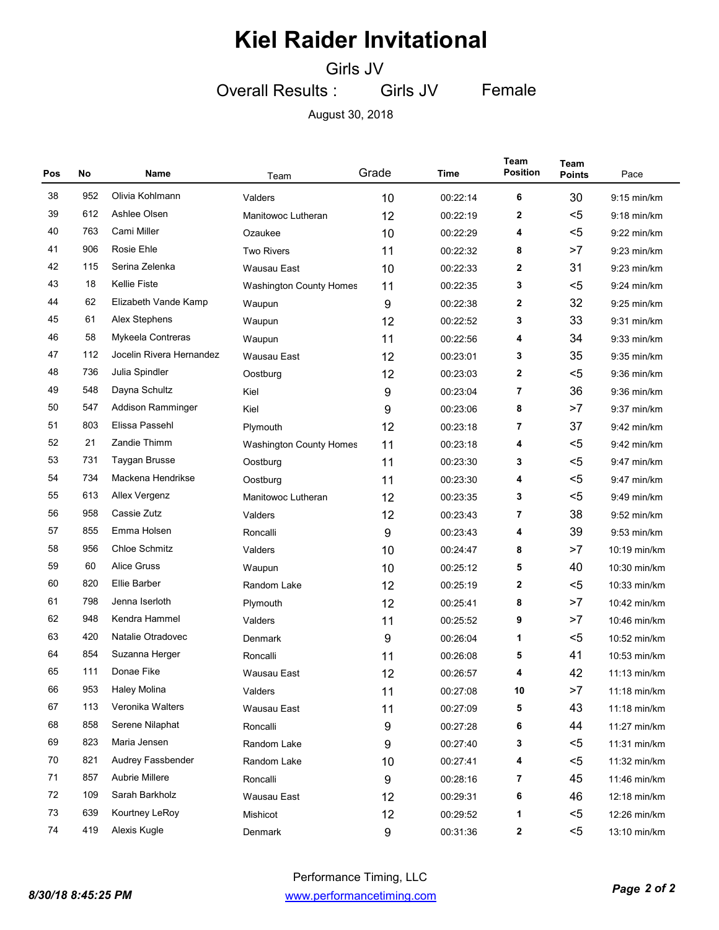Girls JV

Overall Results : Girls JV Female

August 30, 2018

| Pos | No  | Name                     | Team                           | Grade | Time     | <b>Team</b><br><b>Position</b> | Team<br><b>Points</b> | Pace          |
|-----|-----|--------------------------|--------------------------------|-------|----------|--------------------------------|-----------------------|---------------|
| 38  | 952 | Olivia Kohlmann          | Valders                        | 10    | 00:22:14 | 6                              | 30                    | $9:15$ min/km |
| 39  | 612 | Ashlee Olsen             | Manitowoc Lutheran             | 12    | 00:22:19 | 2                              | $5$                   | $9:18$ min/km |
| 40  | 763 | Cami Miller              | Ozaukee                        | 10    | 00:22:29 | 4                              | $5$                   | $9:22$ min/km |
| 41  | 906 | Rosie Ehle               | <b>Two Rivers</b>              | 11    | 00:22:32 | 8                              | >7                    | $9:23$ min/km |
| 42  | 115 | Serina Zelenka           | Wausau East                    | 10    | 00:22:33 | 2                              | 31                    | $9:23$ min/km |
| 43  | 18  | <b>Kellie Fiste</b>      | <b>Washington County Homes</b> | 11    | 00:22:35 | 3                              | $5$                   | $9:24$ min/km |
| 44  | 62  | Elizabeth Vande Kamp     | Waupun                         | 9     | 00:22:38 | 2                              | 32                    | $9:25$ min/km |
| 45  | 61  | Alex Stephens            | Waupun                         | 12    | 00:22:52 | 3                              | 33                    | $9:31$ min/km |
| 46  | 58  | Mykeela Contreras        | Waupun                         | 11    | 00:22:56 | 4                              | 34                    | $9:33$ min/km |
| 47  | 112 | Jocelin Rivera Hernandez | Wausau East                    | 12    | 00:23:01 | 3                              | 35                    | 9:35 min/km   |
| 48  | 736 | Julia Spindler           | Oostburg                       | 12    | 00:23:03 | 2                              | $5$                   | $9:36$ min/km |
| 49  | 548 | Dayna Schultz            | Kiel                           | 9     | 00:23:04 | 7                              | 36                    | $9:36$ min/km |
| 50  | 547 | Addison Ramminger        | Kiel                           | 9     | 00:23:06 | 8                              | >7                    | $9:37$ min/km |
| 51  | 803 | Elissa Passehl           | Plymouth                       | 12    | 00:23:18 | 7                              | 37                    | $9:42$ min/km |
| 52  | 21  | Zandie Thimm             | <b>Washington County Homes</b> | 11    | 00:23:18 | 4                              | $5$                   | $9:42$ min/km |
| 53  | 731 | Taygan Brusse            | Oostburg                       | 11    | 00:23:30 | 3                              | $5$                   | 9:47 min/km   |
| 54  | 734 | Mackena Hendrikse        | Oostburg                       | 11    | 00:23:30 | 4                              | $5$                   | 9:47 min/km   |
| 55  | 613 | Allex Vergenz            | Manitowoc Lutheran             | 12    | 00:23:35 | 3                              | $5$                   | 9:49 min/km   |
| 56  | 958 | Cassie Zutz              | Valders                        | 12    | 00:23:43 | 7                              | 38                    | $9:52$ min/km |
| 57  | 855 | Emma Holsen              | Roncalli                       | 9     | 00:23:43 | 4                              | 39                    | 9:53 min/km   |
| 58  | 956 | <b>Chloe Schmitz</b>     | Valders                        | 10    | 00:24:47 | 8                              | >7                    | 10:19 min/km  |
| 59  | 60  | <b>Alice Gruss</b>       | Waupun                         | 10    | 00:25:12 | 5                              | 40                    | 10:30 min/km  |
| 60  | 820 | Ellie Barber             | Random Lake                    | 12    | 00:25:19 | 2                              | $5$                   | 10:33 min/km  |
| 61  | 798 | Jenna Iserloth           | Plymouth                       | 12    | 00:25:41 | 8                              | >7                    | 10:42 min/km  |
| 62  | 948 | Kendra Hammel            | Valders                        | 11    | 00:25:52 | 9                              | >7                    | 10:46 min/km  |
| 63  | 420 | Natalie Otradovec        | Denmark                        | 9     | 00:26:04 | 1                              | $5$                   | 10:52 min/km  |
| 64  | 854 | Suzanna Herger           | Roncalli                       | 11    | 00:26:08 | 5                              | 41                    | 10:53 min/km  |
| 65  | 111 | Donae Fike               | Wausau East                    | 12    | 00:26:57 | 4                              | 42                    | 11:13 min/km  |
| 66  | 953 | <b>Haley Molina</b>      | Valders                        | 11    | 00:27:08 | 10                             | >7                    | 11:18 min/km  |
| 67  | 113 | Veronika Walters         | Wausau East                    | 11    | 00:27:09 | 5                              | 43                    | 11:18 min/km  |
| 68  | 858 | Serene Nilaphat          | Roncalli                       | 9     | 00:27:28 | 6                              | 44                    | 11:27 min/km  |
| 69  | 823 | Maria Jensen             | Random Lake                    | 9     | 00:27:40 | 3                              | $5$                   | 11:31 min/km  |
| 70  | 821 | Audrey Fassbender        | Random Lake                    | 10    | 00:27:41 | 4                              | $5$                   | 11:32 min/km  |
| 71  | 857 | Aubrie Millere           | Roncalli                       | 9     | 00:28:16 | 7                              | 45                    | 11:46 min/km  |
| 72  | 109 | Sarah Barkholz           | Wausau East                    | 12    | 00:29:31 | 6                              | 46                    | 12:18 min/km  |
| 73  | 639 | Kourtney LeRoy           | Mishicot                       | 12    | 00:29:52 | 1                              | $5$                   | 12:26 min/km  |
| 74  | 419 | Alexis Kugle             | Denmark                        | 9     | 00:31:36 | 2                              | $5$                   | 13:10 min/km  |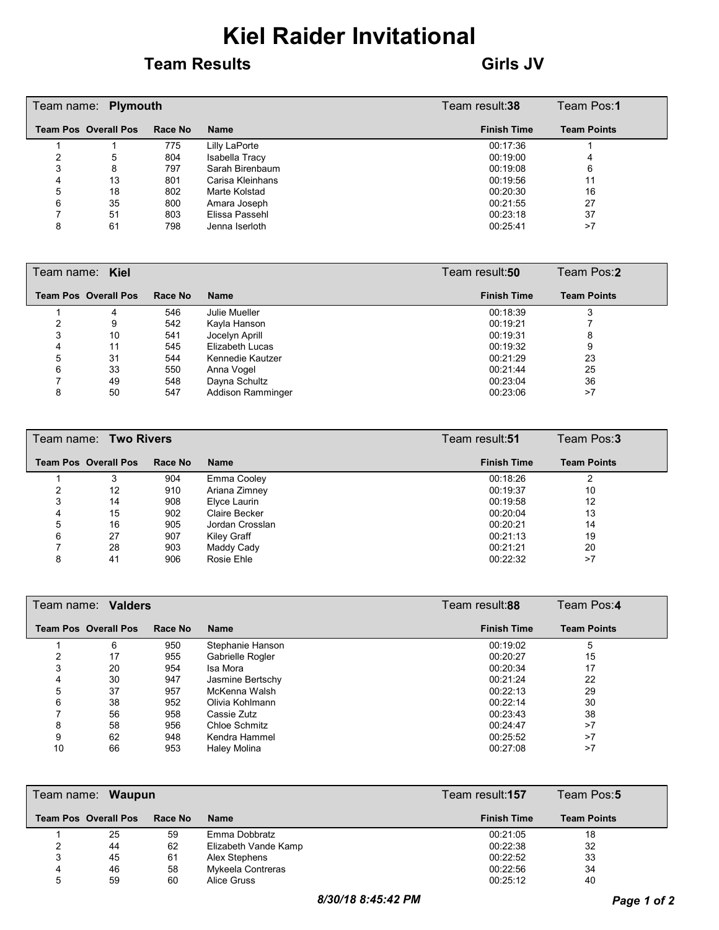#### **Team Results Girls JV**

|   | Team name: Plymouth         |         | Team result:38   | Team Pos:1         |                    |
|---|-----------------------------|---------|------------------|--------------------|--------------------|
|   | <b>Team Pos Overall Pos</b> | Race No | <b>Name</b>      | <b>Finish Time</b> | <b>Team Points</b> |
|   |                             | 775     | Lilly LaPorte    | 00:17:36           |                    |
|   | 5                           | 804     | Isabella Tracy   | 00:19:00           | 4                  |
| 3 | 8                           | 797     | Sarah Birenbaum  | 00:19:08           | 6                  |
| 4 | 13                          | 801     | Carisa Kleinhans | 00:19:56           | 11                 |
| 5 | 18                          | 802     | Marte Kolstad    | 00:20:30           | 16                 |
| 6 | 35                          | 800     | Amara Joseph     | 00:21:55           | 27                 |
|   | 51                          | 803     | Elissa Passehl   | 00:23:18           | 37                 |
| 8 | 61                          | 798     | Jenna Iserloth   | 00:25:41           | >7                 |

| Team name: Kiel |                             |         |                          | Team result: <b>50</b> | Team Pos:2         |
|-----------------|-----------------------------|---------|--------------------------|------------------------|--------------------|
|                 | <b>Team Pos Overall Pos</b> | Race No | <b>Name</b>              | <b>Finish Time</b>     | <b>Team Points</b> |
|                 | 4                           | 546     | Julie Mueller            | 00:18:39               |                    |
|                 | 9                           | 542     | Kayla Hanson             | 00:19:21               |                    |
|                 | 10                          | 541     | Jocelyn Aprill           | 00:19:31               | 8                  |
| 4               | 11                          | 545     | Elizabeth Lucas          | 00:19:32               | 9                  |
| 5               | 31                          | 544     | Kennedie Kautzer         | 00:21:29               | 23                 |
| 6               | 33                          | 550     | Anna Vogel               | 00:21:44               | 25                 |
|                 | 49                          | 548     | Dayna Schultz            | 00:23:04               | 36                 |
| 8               | 50                          | 547     | <b>Addison Ramminger</b> | 00:23:06               | >7                 |

|   | Team name: Two Rivers       |         | Team result:51       | Team Pos:3         |                    |
|---|-----------------------------|---------|----------------------|--------------------|--------------------|
|   | <b>Team Pos Overall Pos</b> | Race No | <b>Name</b>          | <b>Finish Time</b> | <b>Team Points</b> |
|   |                             | 904     | Emma Cooley          | 00:18:26           |                    |
|   | 12                          | 910     | Ariana Zimney        | 00:19:37           | 10                 |
|   | 14                          | 908     | Elyce Laurin         | 00:19:58           | 12                 |
| 4 | 15                          | 902     | <b>Claire Becker</b> | 00:20:04           | 13                 |
| 5 | 16                          | 905     | Jordan Crosslan      | 00:20:21           | 14                 |
| 6 | 27                          | 907     | Kiley Graff          | 00:21:13           | 19                 |
|   | 28                          | 903     | Maddy Cady           | 00:21:21           | 20                 |
| 8 | 41                          | 906     | Rosie Ehle           | 00:22:32           | >7                 |

|    | Team name: Valders          |         | Team result: <b>88</b> | Team Pos:4         |                    |
|----|-----------------------------|---------|------------------------|--------------------|--------------------|
|    | <b>Team Pos Overall Pos</b> | Race No | <b>Name</b>            | <b>Finish Time</b> | <b>Team Points</b> |
|    | 6                           | 950     | Stephanie Hanson       | 00:19:02           | 5                  |
|    | 17                          | 955     | Gabrielle Rogler       | 00:20:27           | 15                 |
| 3  | 20                          | 954     | Isa Mora               | 00:20:34           | 17                 |
|    | 30                          | 947     | Jasmine Bertschy       | 00:21:24           | 22                 |
| 5  | 37                          | 957     | McKenna Walsh          | 00:22:13           | 29                 |
| 6  | 38                          | 952     | Olivia Kohlmann        | 00:22:14           | 30                 |
|    | 56                          | 958     | Cassie Zutz            | 00:23:43           | 38                 |
| 8  | 58                          | 956     | Chloe Schmitz          | 00:24:47           | >7                 |
| 9  | 62                          | 948     | Kendra Hammel          | 00:25:52           | >7                 |
| 10 | 66                          | 953     | Haley Molina           | 00:27:08           | >7                 |

|   | Team name: Waupun           |         | Team result: <b>157</b> | Team Pos:5         |                    |
|---|-----------------------------|---------|-------------------------|--------------------|--------------------|
|   | <b>Team Pos Overall Pos</b> | Race No | <b>Name</b>             | <b>Finish Time</b> | <b>Team Points</b> |
|   | 25                          | 59      | Emma Dobbratz           | 00:21:05           | 18                 |
|   | 44                          | 62      | Elizabeth Vande Kamp    | 00:22:38           | 32                 |
|   | 45                          | 61      | Alex Stephens           | 00:22:52           | 33                 |
| 4 | 46                          | 58      | Mykeela Contreras       | 00:22:56           | 34                 |
| 5 | 59                          | 60      | Alice Gruss             | 00:25:12           | 40                 |